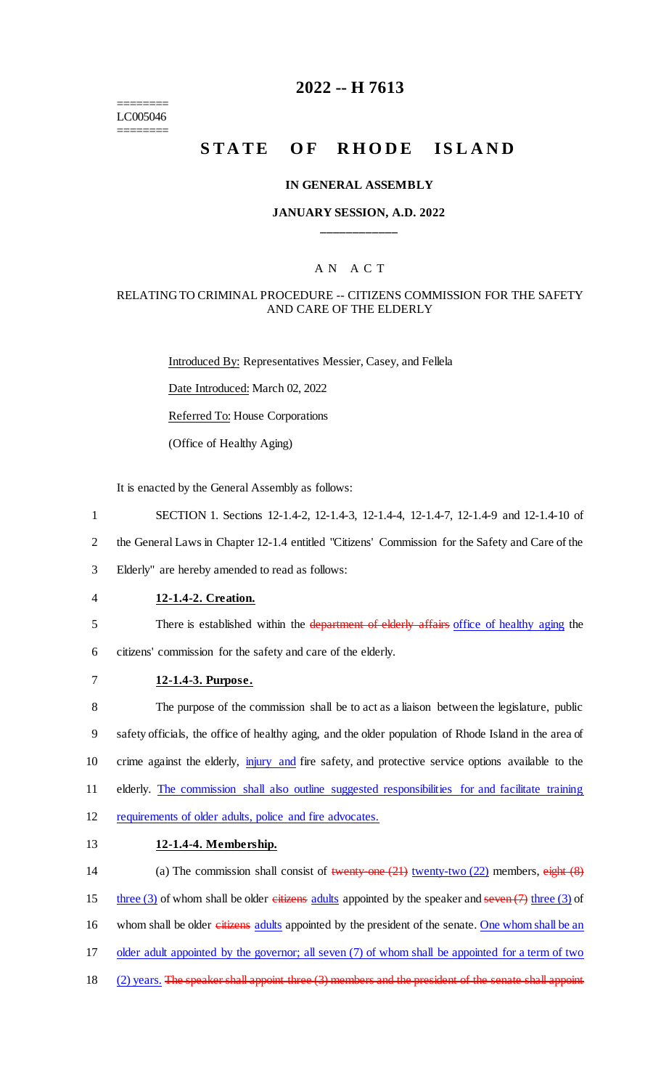======== LC005046 ========

# **2022 -- H 7613**

# **STATE OF RHODE ISLAND**

#### **IN GENERAL ASSEMBLY**

#### **JANUARY SESSION, A.D. 2022 \_\_\_\_\_\_\_\_\_\_\_\_**

### A N A C T

### RELATING TO CRIMINAL PROCEDURE -- CITIZENS COMMISSION FOR THE SAFETY AND CARE OF THE ELDERLY

Introduced By: Representatives Messier, Casey, and Fellela Date Introduced: March 02, 2022

Referred To: House Corporations

(Office of Healthy Aging)

It is enacted by the General Assembly as follows:

- 1 SECTION 1. Sections 12-1.4-2, 12-1.4-3, 12-1.4-4, 12-1.4-7, 12-1.4-9 and 12-1.4-10 of
- 2 the General Laws in Chapter 12-1.4 entitled "Citizens' Commission for the Safety and Care of the

3 Elderly" are hereby amended to read as follows:

#### 4 **12-1.4-2. Creation.**

5 There is established within the department of elderly affairs office of healthy aging the

6 citizens' commission for the safety and care of the elderly.

### 7 **12-1.4-3. Purpose.**

8 The purpose of the commission shall be to act as a liaison between the legislature, public 9 safety officials, the office of healthy aging, and the older population of Rhode Island in the area of 10 crime against the elderly, injury and fire safety, and protective service options available to the 11 elderly. The commission shall also outline suggested responsibilities for and facilitate training 12 requirements of older adults, police and fire advocates.

#### 13 **12-1.4-4. Membership.**

14 (a) The commission shall consist of twenty-one (21) twenty-two (22) members, eight (8) 15 three (3) of whom shall be older citizens adults appointed by the speaker and seven  $(7)$  three (3) of 16 whom shall be older eitizens adults appointed by the president of the senate. One whom shall be an 17 older adult appointed by the governor; all seven (7) of whom shall be appointed for a term of two 18 (2) years. The speaker shall appoint three (3) members and the president of the senate shall appoint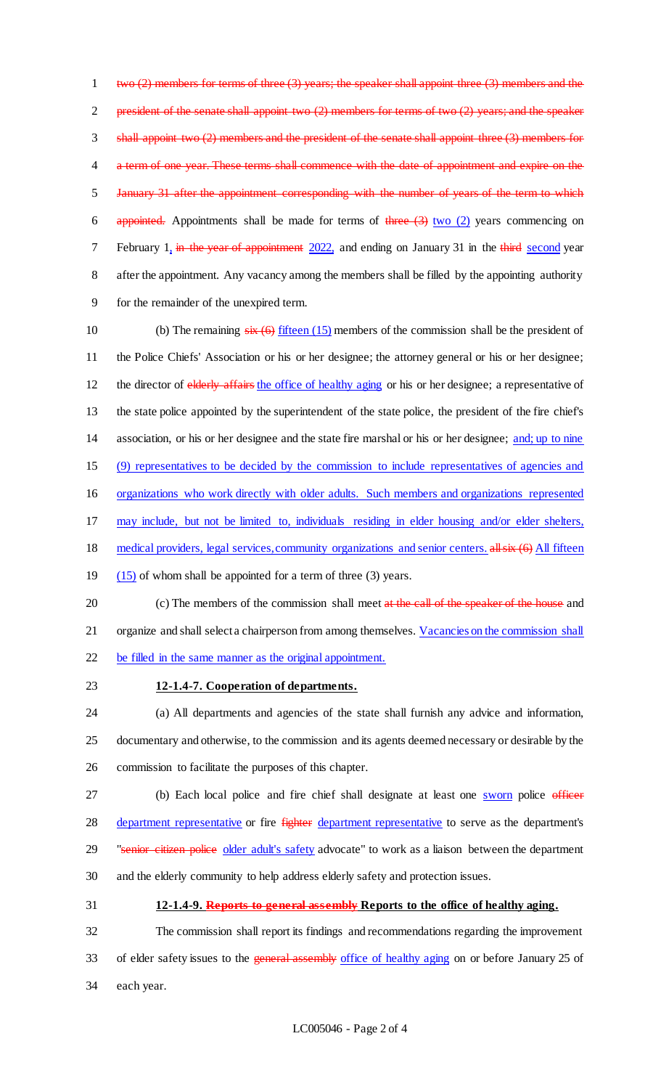two (2) members for terms of three (3) years; the speaker shall appoint three (3) members and the 2 president of the senate shall appoint two (2) members for terms of two (2) years; and the speaker shall appoint two (2) members and the president of the senate shall appoint three (3) members for a term of one year. These terms shall commence with the date of appointment and expire on the January 31 after the appointment corresponding with the number of years of the term to which 6 appointed. Appointments shall be made for terms of three  $(3)$  two  $(2)$  years commencing on 7 February 1, in the year of appointment 2022, and ending on January 31 in the third second year after the appointment. Any vacancy among the members shall be filled by the appointing authority for the remainder of the unexpired term.

10 (b) The remaining  $s\overline{x}(6)$  fifteen (15) members of the commission shall be the president of 11 the Police Chiefs' Association or his or her designee; the attorney general or his or her designee; 12 the director of elderly affairs the office of healthy aging or his or her designee; a representative of 13 the state police appointed by the superintendent of the state police, the president of the fire chief's 14 association, or his or her designee and the state fire marshal or his or her designee; and; up to nine 15 (9) representatives to be decided by the commission to include representatives of agencies and 16 organizations who work directly with older adults. Such members and organizations represented 17 may include, but not be limited to, individuals residing in elder housing and/or elder shelters, 18 medical providers, legal services, community organizations and senior centers. all six (6) All fifteen 19 (15) of whom shall be appointed for a term of three (3) years. 20 (c) The members of the commission shall meet at the call of the speaker of the house and

21 organize and shall select a chairperson from among themselves. Vacancies on the commission shall 22 be filled in the same manner as the original appointment.

### 23 **12-1.4-7. Cooperation of departments.**

24 (a) All departments and agencies of the state shall furnish any advice and information, 25 documentary and otherwise, to the commission and its agents deemed necessary or desirable by the 26 commission to facilitate the purposes of this chapter.

27 (b) Each local police and fire chief shall designate at least one sworn police officer 28 department representative or fire fighter department representative to serve as the department's 29 "senior citizen police older adult's safety advocate" to work as a liaison between the department 30 and the elderly community to help address elderly safety and protection issues.

31 **12-1.4-9. Reports to general assembly Reports to the office of healthy aging.**

32 The commission shall report its findings and recommendations regarding the improvement 33 of elder safety issues to the general assembly office of healthy aging on or before January 25 of 34 each year.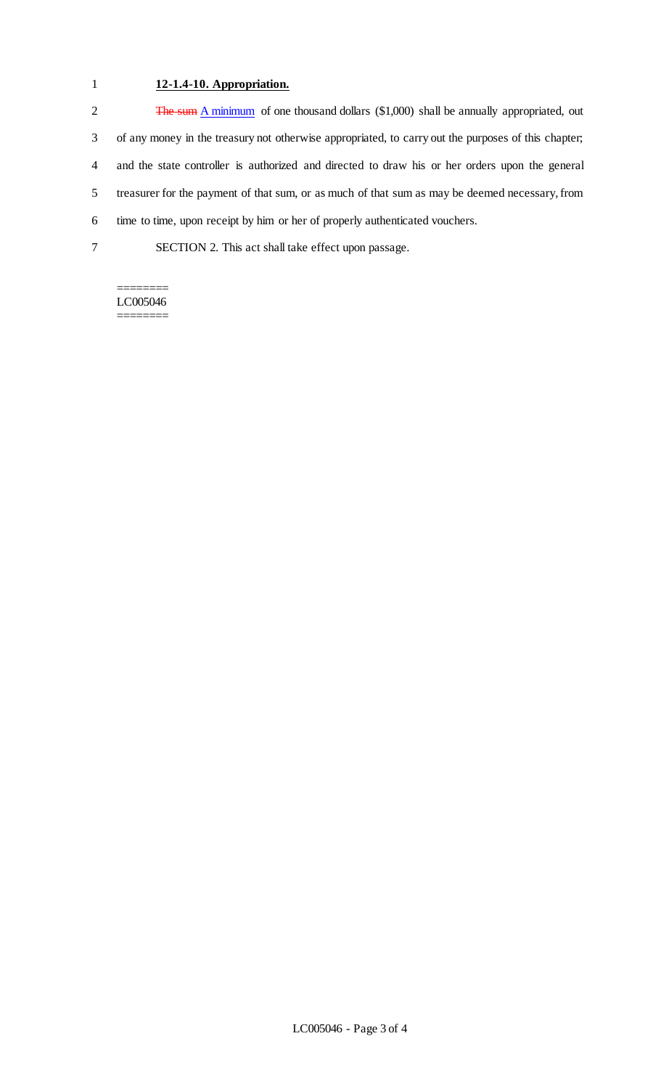## 1 **12-1.4-10. Appropriation.**

2 The sum A minimum of one thousand dollars (\$1,000) shall be annually appropriated, out of any money in the treasury not otherwise appropriated, to carry out the purposes of this chapter; and the state controller is authorized and directed to draw his or her orders upon the general treasurer for the payment of that sum, or as much of that sum as may be deemed necessary, from time to time, upon receipt by him or her of properly authenticated vouchers. SECTION 2. This act shall take effect upon passage.

#### ======== LC005046 ========